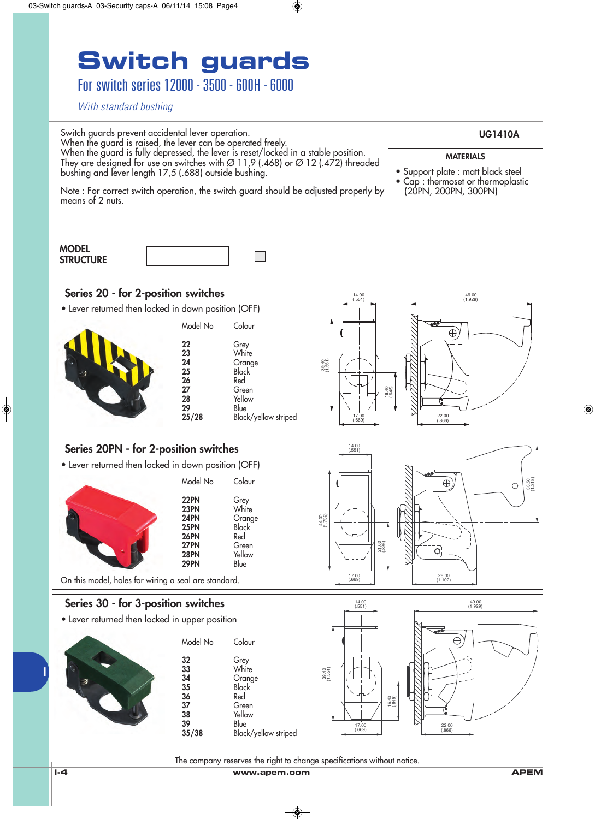For switch series 12000 - 3500 - 600H - 6000

*With standard bushing*



The company reserves the right to change specifications without notice.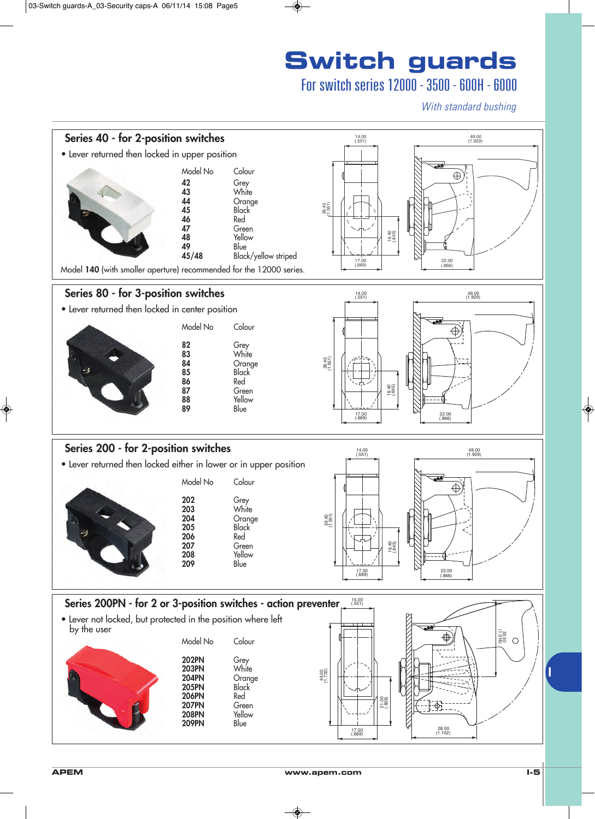### For switch series 12000 - 3500 - 600H - 6000

*With standard bushing*

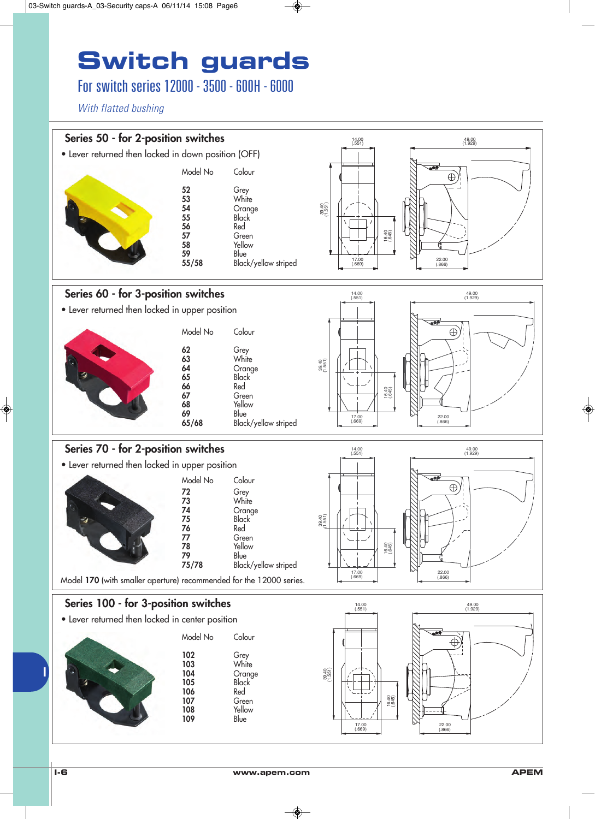### For switch series 12000 - 3500 - 600H - 6000

*With flatted bushing*

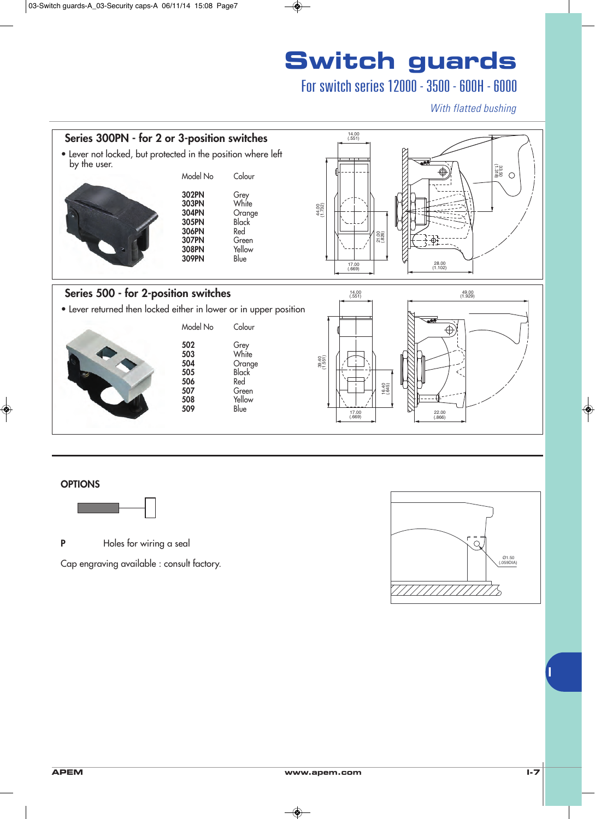### For switch series 12000 - 3500 - 600H - 6000

*With flatted bushing*



#### **OPTIONS**



**P** Holes for wiring a seal

Cap engraving available : consult factory.

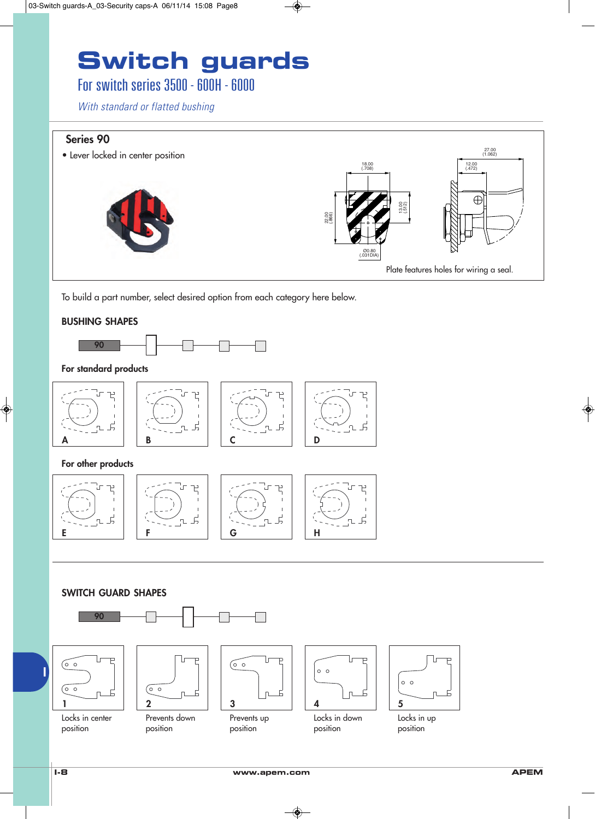### For switch series 3500 - 600H - 6000

*With standard or flatted bushing*

#### **Series 90**

27.00 (1.062) • Lever locked in center position 18.00 12.00 12.00 12.00 12.00 12.00 12.00 12.00 12.00 12.00 12.00 12.00 12.00 12.00 12.00 12.00 12.00 12.00 12  $\bigoplus$ 13.00 (.512) 22.00 (.866) Ø0.80 (.031DIA) Plate features holes for wiring a seal.

To build a part number, select desired option from each category here below.

#### **BUSHING SHAPES**



#### **For standard products**











#### **SWITCH GUARD SHAPES**







Prevents down position

Prevents up position



 $\overline{F}$ 





Locks in up position

position